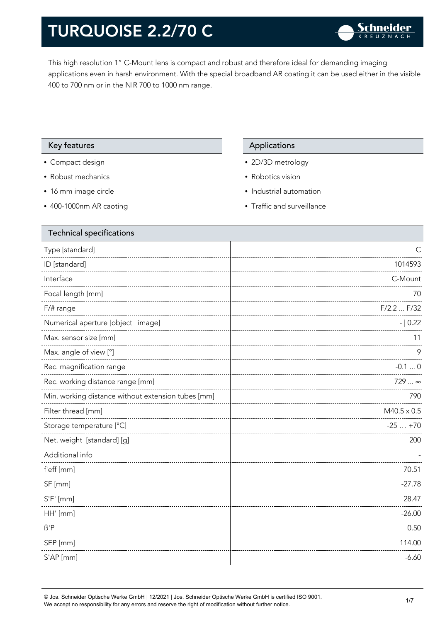This high resolution 1" C-Mount lens is compact and robust and therefore ideal for demanding imaging applications even in harsh environment. With the special broadband AR coating it can be used either in the visible 400 to 700 nm or in the NIR 700 to 1000 nm range.

#### Key features **Applications** Applications

- Compact design
- Robust mechanics
- 16 mm image circle
- 400-1000nm AR caoting

- 2D/3D metrology
- Robotics vision
- Industrial automation
- Traffic and surveillance

| <b>Technical specifications</b>                    |                    |
|----------------------------------------------------|--------------------|
| Type [standard]                                    | C                  |
| ID [standard]                                      | 1014593            |
| Interface                                          | C-Mount            |
| Focal length [mm]                                  | 70                 |
| F/# range                                          | $F/2.2$ $F/32$     |
| Numerical aperture [object   image]                | $- 0.22$           |
| Max. sensor size [mm]                              | 11                 |
| Max. angle of view [°]                             | 9                  |
| Rec. magnification range                           | $-0.10$            |
| Rec. working distance range [mm]                   | 729  ∞             |
| Min. working distance without extension tubes [mm] | 790                |
| Filter thread [mm]                                 | $M40.5 \times 0.5$ |
| Storage temperature [°C]                           | $-25+70$           |
| Net. weight [standard] [g]                         | 200                |
| Additional info                                    |                    |
| f'eff [mm]                                         | 70.51              |
| SF [mm]                                            | $-27.78$           |
| $S'F'$ [mm]                                        | 28.47              |
| HH' [mm]                                           | $-26.00$           |
| $\beta$ 'P                                         | 0.50               |
| SEP [mm]                                           | 114.00             |
| S'AP [mm]                                          | $-6.60$            |

© Jos. Schneider Optische Werke GmbH | 12/2021 | Jos. Schneider Optische Werke GmbH is certified ISO 9001. We accept no responsibility for any errors and reserve the right of modification without further notice.<br>We accept no responsibility for any errors and reserve the right of modification without further notice.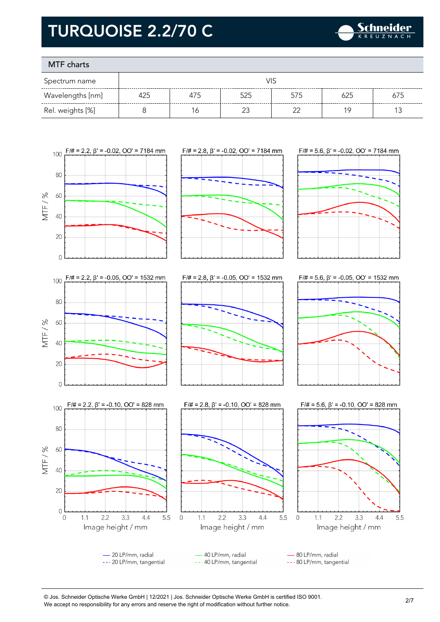

### MTF charts

| Spectrum name    |     |     |        |        |     |     |
|------------------|-----|-----|--------|--------|-----|-----|
| Wavelengths [nm] | 425 | 475 | 525    | 575    | 625 | 675 |
| Rel. weights [%] |     | Ó   | $\sim$ | $\cap$ | 1 Q |     |



© Jos. Schneider Optische Werke GmbH | 12/2021 | Jos. Schneider Optische Werke GmbH is certified ISO 9001. We accept no responsibility for any errors and reserve the right of modification without further notice.<br>We accept no responsibility for any errors and reserve the right of modification without further notice.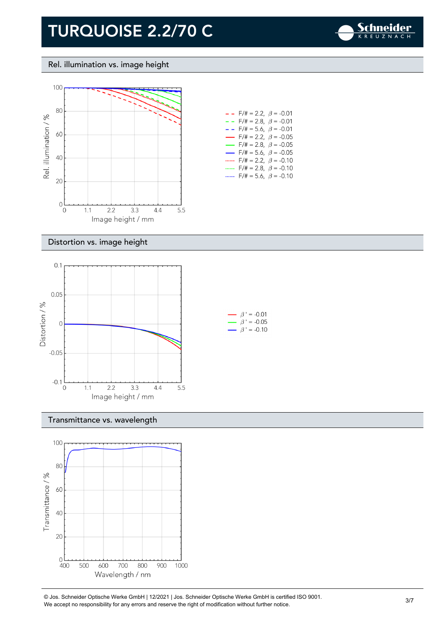

#### Rel. illumination vs. image height



| - -                      | F/# = 2.2, $\beta$ = -0.01              |  |
|--------------------------|-----------------------------------------|--|
| - -                      | $F/\ddot{}=2.8,~\beta = -0.01$          |  |
| - -                      | F/# = 5.6, $\beta$ = -0.01              |  |
| $\overline{\phantom{0}}$ | $F/\ddot{}=2.2,~\beta$ = -0.05          |  |
|                          | $F/\ddot{\pi} = 2.8, \ \beta = -0.05$   |  |
| $\overline{\phantom{0}}$ | $F/\ddot{=} = 5.6, \ \beta = -0.05$     |  |
|                          | $F/\ddot{\pi} = 2.2, \ \ \beta = -0.10$ |  |
|                          | $F/\ddot{\pi} = 2.8, \ \ \beta = -0.10$ |  |
|                          | $F/\ddot{=} = 5.6, \ \beta = -0.10$     |  |

#### Distortion vs. image height



#### Transmittance vs. wavelength



© Jos. Schneider Optische Werke GmbH | 12/2021 | Jos. Schneider Optische Werke GmbH is certified ISO 9001. We accept no responsibility for any errors and reserve the right of modification without further notice.<br>We accept no responsibility for any errors and reserve the right of modification without further notice.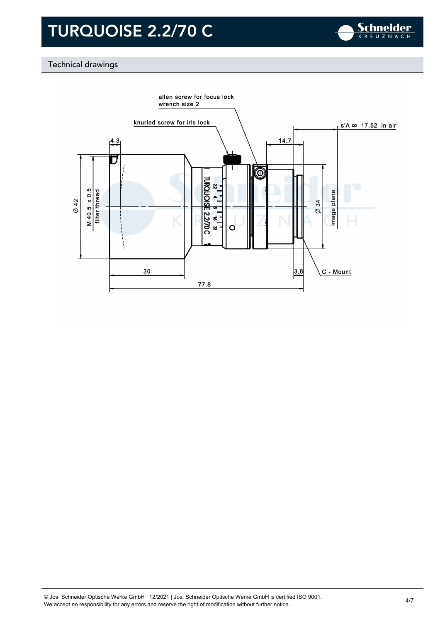

### Technical drawings

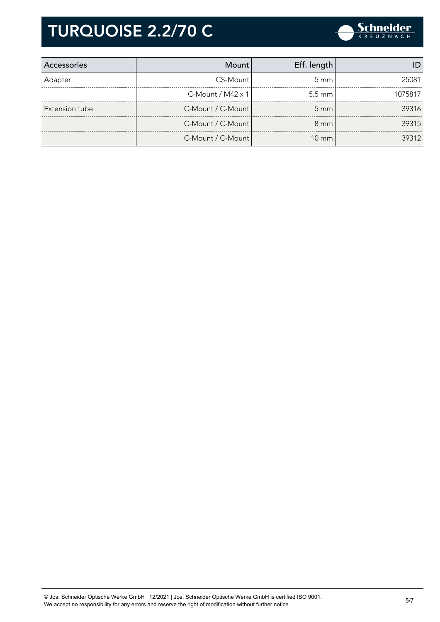

| Accessories    | Mount                    | Eff. length      |         |
|----------------|--------------------------|------------------|---------|
| Adapter        | CS-Mount                 | $5 \text{ mm}$   | 25081   |
|                | C-Mount / $M42 \times 1$ | $5.5 \text{ mm}$ | 1075817 |
| Extension tube | C-Mount / C-Mount        | $5 \, \text{mm}$ | 39316   |
|                | C-Mount / C-Mount        | $8 \text{ mm}$   | 39315   |
|                | C-Mount / C-Mount        | $10 \text{ mm}$  | 39312   |